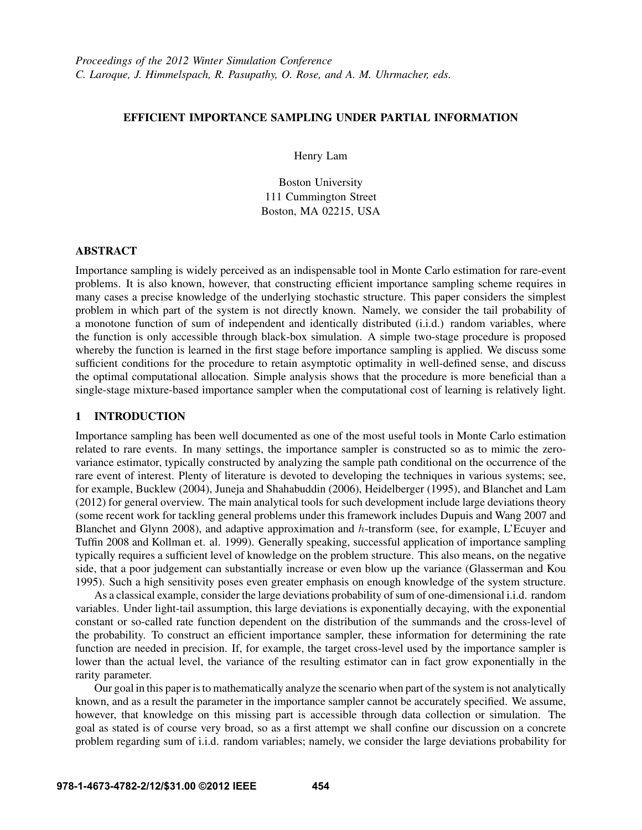# EFFICIENT IMPORTANCE SAMPLING UNDER PARTIAL INFORMATION

Henry Lam

Boston University 111 Cummington Street Boston, MA 02215, USA

# ABSTRACT

Importance sampling is widely perceived as an indispensable tool in Monte Carlo estimation for rare-event problems. It is also known, however, that constructing efficient importance sampling scheme requires in many cases a precise knowledge of the underlying stochastic structure. This paper considers the simplest problem in which part of the system is not directly known. Namely, we consider the tail probability of a monotone function of sum of independent and identically distributed (i.i.d.) random variables, where the function is only accessible through black-box simulation. A simple two-stage procedure is proposed whereby the function is learned in the first stage before importance sampling is applied. We discuss some sufficient conditions for the procedure to retain asymptotic optimality in well-defined sense, and discuss the optimal computational allocation. Simple analysis shows that the procedure is more beneficial than a single-stage mixture-based importance sampler when the computational cost of learning is relatively light.

# 1 INTRODUCTION

Importance sampling has been well documented as one of the most useful tools in Monte Carlo estimation related to rare events. In many settings, the importance sampler is constructed so as to mimic the zerovariance estimator, typically constructed by analyzing the sample path conditional on the occurrence of the rare event of interest. Plenty of literature is devoted to developing the techniques in various systems; see, for example, Bucklew (2004), Juneja and Shahabuddin (2006), Heidelberger (1995), and Blanchet and Lam (2012) for general overview. The main analytical tools for such development include large deviations theory (some recent work for tackling general problems under this framework includes Dupuis and Wang 2007 and Blanchet and Glynn 2008), and adaptive approximation and h-transform (see, for example, L'Ecuyer and Tuffin 2008 and Kollman et. al. 1999). Generally speaking, successful application of importance sampling typically requires a sufficient level of knowledge on the problem structure. This also means, on the negative side, that a poor judgement can substantially increase or even blow up the variance (Glasserman and Kou 1995). Such a high sensitivity poses even greater emphasis on enough knowledge of the system structure.

As a classical example, consider the large deviations probability of sum of one-dimensional i.i.d. random variables. Under light-tail assumption, this large deviations is exponentially decaying, with the exponential constant or so-called rate function dependent on the distribution of the summands and the cross-level of the probability. To construct an efficient importance sampler, these information for determining the rate function are needed in precision. If, for example, the target cross-level used by the importance sampler is lower than the actual level, the variance of the resulting estimator can in fact grow exponentially in the rarity parameter.

Our goal in this paper is to mathematically analyze the scenario when part of the system is not analytically known, and as a result the parameter in the importance sampler cannot be accurately specified. We assume, however, that knowledge on this missing part is accessible through data collection or simulation. The goal as stated is of course very broad, so as a first attempt we shall confine our discussion on a concrete problem regarding sum of i.i.d. random variables; namely, we consider the large deviations probability for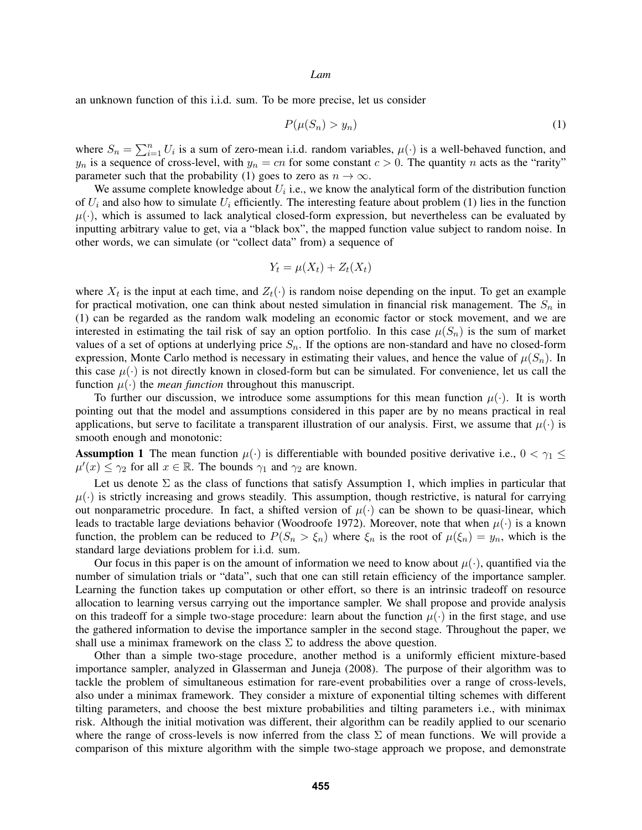an unknown function of this i.i.d. sum. To be more precise, let us consider

$$
P(\mu(S_n) > y_n) \tag{1}
$$

where  $S_n = \sum_{i=1}^n U_i$  is a sum of zero-mean i.i.d. random variables,  $\mu(\cdot)$  is a well-behaved function, and  $y_n$  is a sequence of cross-level, with  $y_n = cn$  for some constant  $c > 0$ . The quantity n acts as the "rarity" parameter such that the probability (1) goes to zero as  $n \to \infty$ .

We assume complete knowledge about  $U_i$  i.e., we know the analytical form of the distribution function of  $U_i$  and also how to simulate  $U_i$  efficiently. The interesting feature about problem (1) lies in the function  $\mu(\cdot)$ , which is assumed to lack analytical closed-form expression, but nevertheless can be evaluated by inputting arbitrary value to get, via a "black box", the mapped function value subject to random noise. In other words, we can simulate (or "collect data" from) a sequence of

$$
Y_t = \mu(X_t) + Z_t(X_t)
$$

where  $X_t$  is the input at each time, and  $Z_t(\cdot)$  is random noise depending on the input. To get an example for practical motivation, one can think about nested simulation in financial risk management. The  $S_n$  in (1) can be regarded as the random walk modeling an economic factor or stock movement, and we are interested in estimating the tail risk of say an option portfolio. In this case  $\mu(S_n)$  is the sum of market values of a set of options at underlying price  $S_n$ . If the options are non-standard and have no closed-form expression, Monte Carlo method is necessary in estimating their values, and hence the value of  $\mu(S_n)$ . In this case  $\mu(\cdot)$  is not directly known in closed-form but can be simulated. For convenience, let us call the function  $\mu(\cdot)$  the *mean function* throughout this manuscript.

To further our discussion, we introduce some assumptions for this mean function  $\mu(\cdot)$ . It is worth pointing out that the model and assumptions considered in this paper are by no means practical in real applications, but serve to facilitate a transparent illustration of our analysis. First, we assume that  $\mu(\cdot)$  is smooth enough and monotonic:

**Assumption 1** The mean function  $\mu(\cdot)$  is differentiable with bounded positive derivative i.e.,  $0 < \gamma_1 \leq$  $\mu'(x) \leq \gamma_2$  for all  $x \in \mathbb{R}$ . The bounds  $\gamma_1$  and  $\gamma_2$  are known.

Let us denote  $\Sigma$  as the class of functions that satisfy Assumption 1, which implies in particular that  $\mu(\cdot)$  is strictly increasing and grows steadily. This assumption, though restrictive, is natural for carrying out nonparametric procedure. In fact, a shifted version of  $\mu(\cdot)$  can be shown to be quasi-linear, which leads to tractable large deviations behavior (Woodroofe 1972). Moreover, note that when  $\mu(\cdot)$  is a known function, the problem can be reduced to  $P(S_n > \xi_n)$  where  $\xi_n$  is the root of  $\mu(\xi_n) = y_n$ , which is the standard large deviations problem for i.i.d. sum.

Our focus in this paper is on the amount of information we need to know about  $\mu(\cdot)$ , quantified via the number of simulation trials or "data", such that one can still retain efficiency of the importance sampler. Learning the function takes up computation or other effort, so there is an intrinsic tradeoff on resource allocation to learning versus carrying out the importance sampler. We shall propose and provide analysis on this tradeoff for a simple two-stage procedure: learn about the function  $\mu(\cdot)$  in the first stage, and use the gathered information to devise the importance sampler in the second stage. Throughout the paper, we shall use a minimax framework on the class  $\Sigma$  to address the above question.

Other than a simple two-stage procedure, another method is a uniformly efficient mixture-based importance sampler, analyzed in Glasserman and Juneja (2008). The purpose of their algorithm was to tackle the problem of simultaneous estimation for rare-event probabilities over a range of cross-levels, also under a minimax framework. They consider a mixture of exponential tilting schemes with different tilting parameters, and choose the best mixture probabilities and tilting parameters i.e., with minimax risk. Although the initial motivation was different, their algorithm can be readily applied to our scenario where the range of cross-levels is now inferred from the class  $\Sigma$  of mean functions. We will provide a comparison of this mixture algorithm with the simple two-stage approach we propose, and demonstrate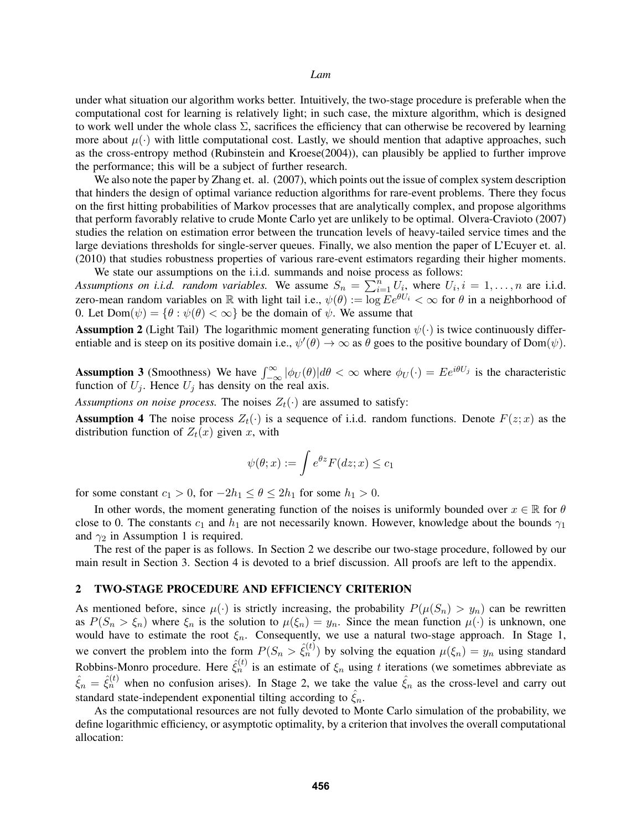under what situation our algorithm works better. Intuitively, the two-stage procedure is preferable when the computational cost for learning is relatively light; in such case, the mixture algorithm, which is designed to work well under the whole class  $\Sigma$ , sacrifices the efficiency that can otherwise be recovered by learning more about  $\mu(\cdot)$  with little computational cost. Lastly, we should mention that adaptive approaches, such as the cross-entropy method (Rubinstein and Kroese(2004)), can plausibly be applied to further improve the performance; this will be a subject of further research.

We also note the paper by Zhang et. al. (2007), which points out the issue of complex system description that hinders the design of optimal variance reduction algorithms for rare-event problems. There they focus on the first hitting probabilities of Markov processes that are analytically complex, and propose algorithms that perform favorably relative to crude Monte Carlo yet are unlikely to be optimal. Olvera-Cravioto (2007) studies the relation on estimation error between the truncation levels of heavy-tailed service times and the large deviations thresholds for single-server queues. Finally, we also mention the paper of L'Ecuyer et. al. (2010) that studies robustness properties of various rare-event estimators regarding their higher moments.

We state our assumptions on the i.i.d. summands and noise process as follows: Assumptions on i.i.d. random variables. We assume  $S_n = \sum_{i=1}^n U_i$ , where  $U_i, i = 1, \ldots, n$  are i.i.d. zero-mean random variables on R with light tail i.e.,  $\psi(\theta) := \overline{\log E} e^{\theta U_i} < \infty$  for  $\theta$  in a neighborhood of 0. Let  $Dom(\psi) = {\theta : \psi(\theta) < \infty}$  be the domain of  $\psi$ . We assume that

**Assumption 2** (Light Tail) The logarithmic moment generating function  $\psi(\cdot)$  is twice continuously differentiable and is steep on its positive domain i.e.,  $\psi'(\theta) \to \infty$  as  $\theta$  goes to the positive boundary of Dom( $\psi$ ).

**Assumption 3** (Smoothness) We have  $\int_{-\infty}^{\infty} |\phi_U(\theta)| d\theta < \infty$  where  $\phi_U(\cdot) = Ee^{i\theta U_j}$  is the characteristic function of  $U_j$ . Hence  $U_j$  has density on the real axis.

*Assumptions on noise process.* The noises  $Z_t(\cdot)$  are assumed to satisfy:

**Assumption 4** The noise process  $Z_t(\cdot)$  is a sequence of i.i.d. random functions. Denote  $F(z; x)$  as the distribution function of  $Z_t(x)$  given x, with

$$
\psi(\theta; x) := \int e^{\theta z} F(dz; x) \le c_1
$$

for some constant  $c_1 > 0$ , for  $-2h_1 \le \theta \le 2h_1$  for some  $h_1 > 0$ .

In other words, the moment generating function of the noises is uniformly bounded over  $x \in \mathbb{R}$  for  $\theta$ close to 0. The constants  $c_1$  and  $h_1$  are not necessarily known. However, knowledge about the bounds  $\gamma_1$ and  $\gamma_2$  in Assumption 1 is required.

The rest of the paper is as follows. In Section 2 we describe our two-stage procedure, followed by our main result in Section 3. Section 4 is devoted to a brief discussion. All proofs are left to the appendix.

### 2 TWO-STAGE PROCEDURE AND EFFICIENCY CRITERION

As mentioned before, since  $\mu(\cdot)$  is strictly increasing, the probability  $P(\mu(S_n) > y_n)$  can be rewritten as  $P(S_n > \xi_n)$  where  $\xi_n$  is the solution to  $\mu(\xi_n) = y_n$ . Since the mean function  $\mu(\cdot)$  is unknown, one would have to estimate the root  $\xi_n$ . Consequently, we use a natural two-stage approach. In Stage 1, we convert the problem into the form  $P(S_n > \hat{\xi}_n^{(t)})$  by solving the equation  $\mu(\xi_n) = y_n$  using standard Robbins-Monro procedure. Here  $\hat{\xi}_n^{(t)}$  is an estimate of  $\xi_n$  using t iterations (we sometimes abbreviate as  $\hat{\xi}_n = \hat{\xi}_n^{(t)}$  when no confusion arises). In Stage 2, we take the value  $\hat{\xi}_n$  as the cross-level and carry out standard state-independent exponential tilting according to  $\hat{\xi}_n$ .

As the computational resources are not fully devoted to Monte Carlo simulation of the probability, we define logarithmic efficiency, or asymptotic optimality, by a criterion that involves the overall computational allocation: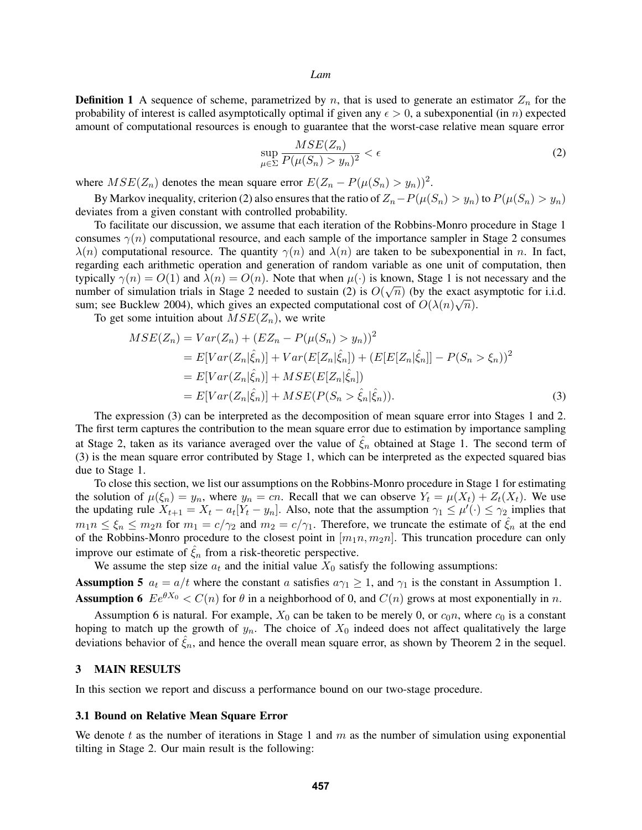**Definition 1** A sequence of scheme, parametrized by n, that is used to generate an estimator  $Z_n$  for the probability of interest is called asymptotically optimal if given any  $\epsilon > 0$ , a subexponential (in n) expected amount of computational resources is enough to guarantee that the worst-case relative mean square error

$$
\sup_{\mu \in \Sigma} \frac{MSE(Z_n)}{P(\mu(S_n) > y_n)^2} < \epsilon \tag{2}
$$

where  $MSE(Z_n)$  denotes the mean square error  $E(Z_n - P(\mu(S_n) > y_n))^2$ .

By Markov inequality, criterion (2) also ensures that the ratio of  $Z_n-P(\mu(S_n) > y_n)$  to  $P(\mu(S_n) > y_n)$ deviates from a given constant with controlled probability.

To facilitate our discussion, we assume that each iteration of the Robbins-Monro procedure in Stage 1 consumes  $\gamma(n)$  computational resource, and each sample of the importance sampler in Stage 2 consumes  $\lambda(n)$  computational resource. The quantity  $\gamma(n)$  and  $\lambda(n)$  are taken to be subexponential in n. In fact, regarding each arithmetic operation and generation of random variable as one unit of computation, then typically  $\gamma(n) = O(1)$  and  $\lambda(n) = O(n)$ . Note that when  $\mu(\cdot)$  is known, Stage 1 is not necessary and the number of simulation trials in Stage 2 needed to sustain (2) is  $O(\sqrt{n})$  (by the exact asymptotic for i.i.d. sum; see Bucklew 2004), which gives an expected computational cost of  $O(\lambda(n)\sqrt{n})$ .

To get some intuition about  $MSE(Z_n)$ , we write

$$
MSE(Z_n) = Var(Z_n) + (EZ_n - P(\mu(S_n) > y_n))^2
$$
  
=  $E[Var(Z_n|\hat{\xi}_n)] + Var(E[Z_n|\hat{\xi}_n]) + (E[E[Z_n|\hat{\xi}_n]] - P(S_n > \xi_n))^2$   
=  $E[Var(Z_n|\hat{\xi}_n)] + MSE(E[Z_n|\hat{\xi}_n])$   
=  $E[Var(Z_n|\hat{\xi}_n)] + MSE(P(S_n > \hat{\xi}_n|\hat{\xi}_n)).$  (3)

The expression (3) can be interpreted as the decomposition of mean square error into Stages 1 and 2. The first term captures the contribution to the mean square error due to estimation by importance sampling at Stage 2, taken as its variance averaged over the value of  $\hat{\xi}_n$  obtained at Stage 1. The second term of (3) is the mean square error contributed by Stage 1, which can be interpreted as the expected squared bias due to Stage 1.

To close this section, we list our assumptions on the Robbins-Monro procedure in Stage 1 for estimating the solution of  $\mu(\xi_n) = y_n$ , where  $y_n = cn$ . Recall that we can observe  $Y_t = \mu(X_t) + Z_t(X_t)$ . We use the updating rule  $X_{t+1} = X_t - a_t[Y_t - y_n]$ . Also, note that the assumption  $\gamma_1 \leq \mu'(\cdot) \leq \gamma_2$  implies that  $m_1 n \leq \xi_n \leq m_2 n$  for  $m_1 = c/\gamma_2$  and  $m_2 = c/\gamma_1$ . Therefore, we truncate the estimate of  $\hat{\xi}_n$  at the end of the Robbins-Monro procedure to the closest point in  $[m_1n, m_2n]$ . This truncation procedure can only improve our estimate of  $\hat{\xi}_n$  from a risk-theoretic perspective.

We assume the step size  $a_t$  and the initial value  $X_0$  satisfy the following assumptions:

**Assumption 5**  $a_t = a/t$  where the constant a satisfies  $a\gamma_1 \geq 1$ , and  $\gamma_1$  is the constant in Assumption 1. **Assumption 6**  $Ee^{\theta X_0} < C(n)$  for  $\theta$  in a neighborhood of 0, and  $C(n)$  grows at most exponentially in n.

Assumption 6 is natural. For example,  $X_0$  can be taken to be merely 0, or  $c_0n$ , where  $c_0$  is a constant hoping to match up the growth of  $y_n$ . The choice of  $X_0$  indeed does not affect qualitatively the large deviations behavior of  $\xi_n$ , and hence the overall mean square error, as shown by Theorem 2 in the sequel.

### 3 MAIN RESULTS

In this section we report and discuss a performance bound on our two-stage procedure.

## 3.1 Bound on Relative Mean Square Error

We denote t as the number of iterations in Stage 1 and m as the number of simulation using exponential tilting in Stage 2. Our main result is the following: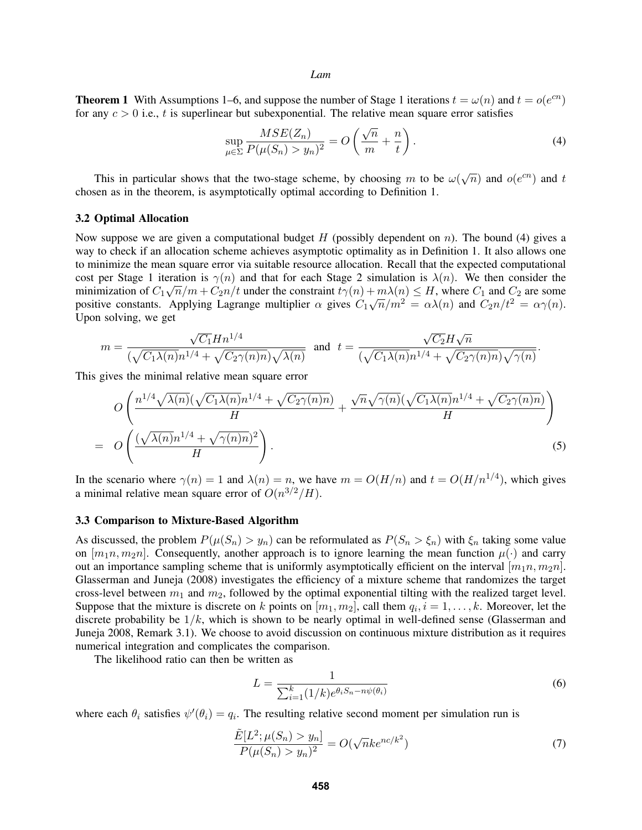**Theorem 1** With Assumptions 1–6, and suppose the number of Stage 1 iterations  $t = \omega(n)$  and  $t = o(e^{cn})$ for any  $c > 0$  i.e., t is superlinear but subexponential. The relative mean square error satisfies

$$
\sup_{\mu \in \Sigma} \frac{MSE(Z_n)}{P(\mu(S_n) > y_n)^2} = O\left(\frac{\sqrt{n}}{m} + \frac{n}{t}\right).
$$
\n(4)

This in particular shows that the two-stage scheme, by choosing m to be  $\omega(\sqrt{n})$  and  $o(e^{cn})$  and t chosen as in the theorem, is asymptotically optimal according to Definition 1.

### 3.2 Optimal Allocation

Now suppose we are given a computational budget  $H$  (possibly dependent on n). The bound (4) gives a way to check if an allocation scheme achieves asymptotic optimality as in Definition 1. It also allows one to minimize the mean square error via suitable resource allocation. Recall that the expected computational cost per Stage 1 iteration is  $\gamma(n)$  and that for each Stage 2 simulation is  $\lambda(n)$ . We then consider the minimization of  $C_1\sqrt{n}/m + C_2n/t$  under the constraint  $t\gamma(n) + m\lambda(n) \leq H$ , where  $C_1$  and  $C_2$  are some minimization of  $C_1 \sqrt{n/m} + C_2 n/t$  under the constraint  $t\gamma(n) + m\lambda(n) \leq H$ , where  $C_1$  and  $C_2$  are some positive constants. Applying Lagrange multiplier  $\alpha$  gives  $C_1\sqrt{n/m^2} = \alpha\lambda(n)$  and  $C_2n/t^2 = \alpha\gamma(n)$ . Upon solving, we get

$$
m=\frac{\sqrt{C_1}Hn^{1/4}}{(\sqrt{C_1\lambda(n)}n^{1/4}+\sqrt{C_2\gamma(n)n})\sqrt{\lambda(n)}}\ \ \, \text{and}\ \ \, t=\frac{\sqrt{C_2}H\sqrt{n}}{(\sqrt{C_1\lambda(n)}n^{1/4}+\sqrt{C_2\gamma(n)n})\sqrt{\gamma(n)}}.
$$

This gives the minimal relative mean square error

$$
O\left(\frac{n^{1/4}\sqrt{\lambda(n)}(\sqrt{C_1\lambda(n)}n^{1/4} + \sqrt{C_2\gamma(n)n})}{H} + \frac{\sqrt{n}\sqrt{\gamma(n)}(\sqrt{C_1\lambda(n)}n^{1/4} + \sqrt{C_2\gamma(n)n})}{H}\right)
$$
  
= 
$$
O\left(\frac{(\sqrt{\lambda(n)}n^{1/4} + \sqrt{\gamma(n)n})^2}{H}\right).
$$
 (5)

In the scenario where  $\gamma(n) = 1$  and  $\lambda(n) = n$ , we have  $m = O(H/n)$  and  $t = O(H/n^{1/4})$ , which gives a minimal relative mean square error of  $O(n^{3/2}/H)$ .

### 3.3 Comparison to Mixture-Based Algorithm

As discussed, the problem  $P(\mu(S_n) > y_n)$  can be reformulated as  $P(S_n > \xi_n)$  with  $\xi_n$  taking some value on  $[m_1n, m_2n]$ . Consequently, another approach is to ignore learning the mean function  $\mu(\cdot)$  and carry out an importance sampling scheme that is uniformly asymptotically efficient on the interval  $[m_1n, m_2n]$ . Glasserman and Juneja (2008) investigates the efficiency of a mixture scheme that randomizes the target cross-level between  $m_1$  and  $m_2$ , followed by the optimal exponential tilting with the realized target level. Suppose that the mixture is discrete on k points on  $[m_1, m_2]$ , call them  $q_i$ ,  $i = 1, \ldots, k$ . Moreover, let the discrete probability be  $1/k$ , which is shown to be nearly optimal in well-defined sense (Glasserman and Juneja 2008, Remark 3.1). We choose to avoid discussion on continuous mixture distribution as it requires numerical integration and complicates the comparison.

The likelihood ratio can then be written as

$$
L = \frac{1}{\sum_{i=1}^{k} (1/k)e^{\theta_i S_n - n\psi(\theta_i)}}
$$
(6)

where each  $\theta_i$  satisfies  $\psi'(\theta_i) = q_i$ . The resulting relative second moment per simulation run is

$$
\frac{\tilde{E}[L^2; \mu(S_n) > y_n]}{P(\mu(S_n) > y_n)^2} = O(\sqrt{n}ke^{nc/k^2})
$$
\n(7)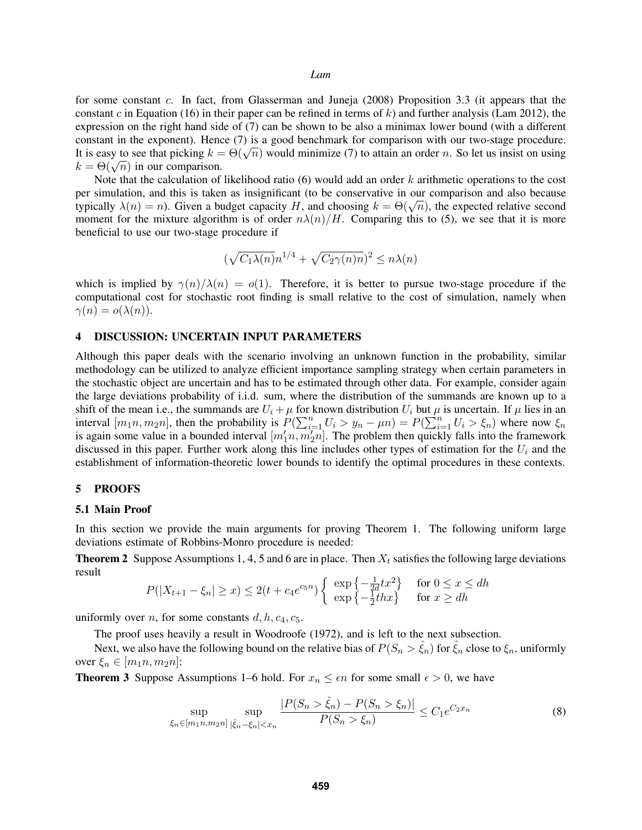for some constant c. In fact, from Glasserman and Juneja (2008) Proposition 3.3 (it appears that the constant c in Equation (16) in their paper can be refined in terms of k) and further analysis (Lam 2012), the expression on the right hand side of (7) can be shown to be also a minimax lower bound (with a different constant in the exponent). Hence (7) is a good benchmark for comparison with our two-stage procedure. Constant in the exponent). Hence (*i*) is a good benchmark for comparison with our two-stage procedure.<br>It is easy to see that picking  $k = \Theta(\sqrt{n})$  would minimize (7) to attain an order *n*. So let us insist on using It is easy to see that picking  $\kappa = k = \Theta(\sqrt{n})$  in our comparison.

Note that the calculation of likelihood ratio  $(6)$  would add an order k arithmetic operations to the cost per simulation, and this is taken as insignificant (to be conservative in our comparison and also because per simulation, and this is taken as insignificant (to be conservative in our comparison and also because<br>typically  $\lambda(n) = n$ ). Given a budget capacity H, and choosing  $k = \Theta(\sqrt{n})$ , the expected relative second moment for the mixture algorithm is of order  $n\lambda(n)/H$ . Comparing this to (5), we see that it is more beneficial to use our two-stage procedure if

$$
(\sqrt{C_1 \lambda(n)} n^{1/4} + \sqrt{C_2 \gamma(n)n})^2 \le n\lambda(n)
$$

which is implied by  $\gamma(n)/\lambda(n) = o(1)$ . Therefore, it is better to pursue two-stage procedure if the computational cost for stochastic root finding is small relative to the cost of simulation, namely when  $\gamma(n) = o(\lambda(n)).$ 

# 4 DISCUSSION: UNCERTAIN INPUT PARAMETERS

Although this paper deals with the scenario involving an unknown function in the probability, similar methodology can be utilized to analyze efficient importance sampling strategy when certain parameters in the stochastic object are uncertain and has to be estimated through other data. For example, consider again the large deviations probability of i.i.d. sum, where the distribution of the summands are known up to a shift of the mean i.e., the summands are  $U_i + \mu$  for known distribution  $U_i$  but  $\mu$  is uncertain. If  $\mu$  lies in an interval  $[m_1n, m_2n]$ , then the probability is  $P(\sum_{i=1}^n U_i > y_n - \mu n) = P(\sum_{i=1}^n U_i > \xi_n)$  where now  $\xi_n$ is again some value in a bounded interval  $[m'_1n, m'_2n]$ . The problem then quickly falls into the framework discussed in this paper. Further work along this line includes other types of estimation for the  $U_i$  and the establishment of information-theoretic lower bounds to identify the optimal procedures in these contexts.

#### 5 PROOFS

## 5.1 Main Proof

In this section we provide the main arguments for proving Theorem 1. The following uniform large deviations estimate of Robbins-Monro procedure is needed:

**Theorem 2** Suppose Assumptions 1, 4, 5 and 6 are in place. Then  $X_t$  satisfies the following large deviations result

$$
P(|X_{t+1} - \xi_n| \ge x) \le 2(t + c_4 e^{c_5 n}) \begin{cases} \exp\left\{-\frac{1}{2d} t x^2\right\} & \text{for } 0 \le x \le dh\\ \exp\left\{-\frac{1}{2} th x\right\} & \text{for } x \ge dh \end{cases}
$$

uniformly over *n*, for some constants  $d, h, c_4, c_5$ .

The proof uses heavily a result in Woodroofe (1972), and is left to the next subsection.

Next, we also have the following bound on the relative bias of  $P(S_n > \hat{\xi}_n)$  for  $\hat{\xi}_n$  close to  $\xi_n$ , uniformly over  $\xi_n \in [m_1n, m_2n]$ :

**Theorem 3** Suppose Assumptions 1–6 hold. For  $x_n \leq \epsilon n$  for some small  $\epsilon > 0$ , we have

$$
\sup_{\xi_n \in [m_1 n, m_2 n]} \sup_{|\hat{\xi}_n - \xi_n| < x_n} \frac{|P(S_n > \hat{\xi}_n) - P(S_n > \xi_n)|}{P(S_n > \hat{\xi}_n)} \le C_1 e^{C_2 x_n} \tag{8}
$$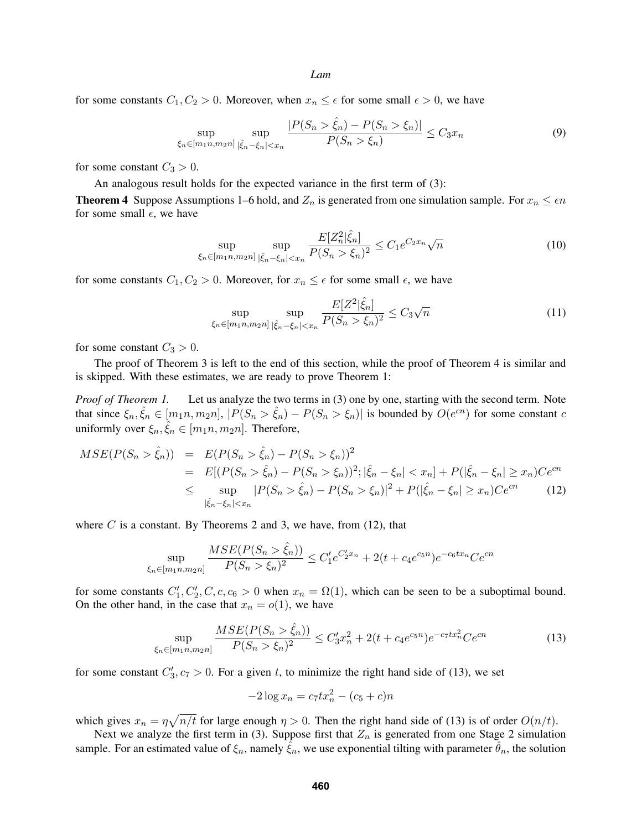for some constants  $C_1, C_2 > 0$ . Moreover, when  $x_n \leq \epsilon$  for some small  $\epsilon > 0$ , we have

$$
\sup_{\xi_n \in [m_1 n, m_2 n]} \sup_{|\hat{\xi}_n - \xi_n| < x_n} \frac{|P(S_n > \hat{\xi}_n) - P(S_n > \xi_n)|}{P(S_n > \hat{\xi}_n)} \le C_3 x_n \tag{9}
$$

for some constant  $C_3 > 0$ .

An analogous result holds for the expected variance in the first term of (3):

**Theorem 4** Suppose Assumptions 1–6 hold, and  $Z_n$  is generated from one simulation sample. For  $x_n \leq \epsilon n$ for some small  $\epsilon$ , we have

$$
\sup_{\xi_n \in [m_1 n, m_2 n]} \sup_{|\hat{\xi}_n - \xi_n| < x_n} \frac{E[Z_n^2 | \hat{\xi}_n]}{P(S_n > \xi_n)^2} \le C_1 e^{C_2 x_n} \sqrt{n} \tag{10}
$$

for some constants  $C_1, C_2 > 0$ . Moreover, for  $x_n \leq \epsilon$  for some small  $\epsilon$ , we have

$$
\sup_{\xi_n \in [m_1 n, m_2 n]} \sup_{|\hat{\xi}_n - \xi_n| < x_n} \frac{E[Z^2 | \hat{\xi}_n]}{P(S_n > \xi_n)^2} \le C_3 \sqrt{n} \tag{11}
$$

for some constant  $C_3 > 0$ .

The proof of Theorem 3 is left to the end of this section, while the proof of Theorem 4 is similar and is skipped. With these estimates, we are ready to prove Theorem 1:

*Proof of Theorem 1.* Let us analyze the two terms in (3) one by one, starting with the second term. Note that since  $\xi_n, \hat{\xi}_n \in [m_1n, m_2n]$ ,  $|P(S_n > \hat{\xi}_n) - P(S_n > \xi_n)|$  is bounded by  $O(e^{cn})$  for some constant c uniformly over  $\xi_n, \hat{\xi}_n \in [m_1n, m_2n]$ . Therefore,

$$
MSE(P(S_n > \hat{\xi}_n)) = E(P(S_n > \hat{\xi}_n) - P(S_n > \xi_n))^2
$$
  
= 
$$
E[(P(S_n > \hat{\xi}_n) - P(S_n > \xi_n))^2; |\hat{\xi}_n - \xi_n| < x_n] + P(|\hat{\xi}_n - \xi_n| \ge x_n)Ce^{cn}
$$
  

$$
\le \sup_{|\hat{\xi}_n - \xi_n| < x_n} |P(S_n > \hat{\xi}_n) - P(S_n > \xi_n)|^2 + P(|\hat{\xi}_n - \xi_n| \ge x_n)Ce^{cn}
$$
(12)

where  $C$  is a constant. By Theorems 2 and 3, we have, from (12), that

$$
\sup_{\xi_n \in [m_1 n, m_2 n]} \frac{MSE(P(S_n > \hat{\xi}_n))}{P(S_n > \hat{\xi}_n)^2} \le C_1' e^{C_2' x_n} + 2(t + c_4 e^{c_5 n}) e^{-c_6 t x_n} C e^{cn}
$$

for some constants  $C'_1, C'_2, C, c, c_6 > 0$  when  $x_n = \Omega(1)$ , which can be seen to be a suboptimal bound. On the other hand, in the case that  $x_n = o(1)$ , we have

$$
\sup_{\xi_n \in [m_1 n, m_2 n]} \frac{MSE(P(S_n > \hat{\xi}_n))}{P(S_n > \xi_n)^2} \le C_3' x_n^2 + 2(t + c_4 e^{c_5 n}) e^{-c_7 t x_n^2} C e^{cn}
$$
\n(13)

for some constant  $C'_3$ ,  $c_7 > 0$ . For a given t, to minimize the right hand side of (13), we set

$$
-2\log x_n = c_7 t x_n^2 - (c_5 + c)n
$$

which gives  $x_n = \eta \sqrt{n/t}$  for large enough  $\eta > 0$ . Then the right hand side of (13) is of order  $O(n/t)$ .

Next we analyze the first term in (3). Suppose first that  $Z_n$  is generated from one Stage 2 simulation sample. For an estimated value of  $\xi_n$ , namely  $\hat{\xi}_n$ , we use exponential tilting with parameter  $\hat{\theta}_n$ , the solution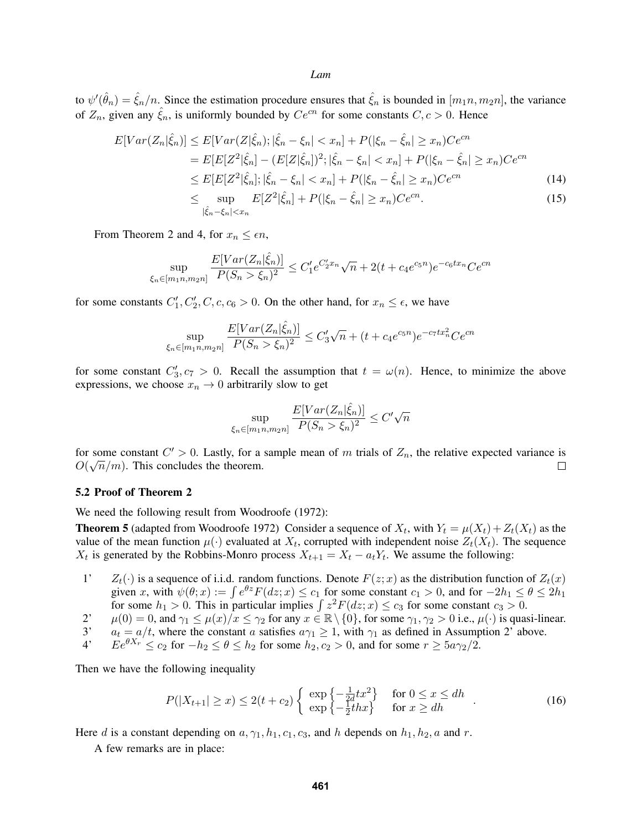to  $\psi'(\hat{\theta}_n) = \hat{\xi}_n/n$ . Since the estimation procedure ensures that  $\hat{\xi}_n$  is bounded in  $[m_1n, m_2n]$ , the variance of  $Z_n$ , given any  $\hat{\xi}_n$ , is uniformly bounded by  $Ce^{cn}$  for some constants  $C, c > 0$ . Hence

$$
E[Var(Z_n|\hat{\xi}_n)] \le E[Var(Z|\hat{\xi}_n); |\hat{\xi}_n - \xi_n| < x_n] + P(|\xi_n - \hat{\xi}_n| \ge x_n)Ce^{cn}
$$
\n
$$
= E[E[Z^2|\hat{\xi}_n] - (E[Z|\hat{\xi}_n])^2; |\hat{\xi}_n - \xi_n| < x_n] + P(|\xi_n - \hat{\xi}_n| \ge x_n)Ce^{cn}
$$
\n
$$
\le E[E[Z^2|\hat{\xi}_n]; |\hat{\xi}_n - \xi_n| < x_n] + P(|\xi_n - \hat{\xi}_n| \ge x_n)Ce^{cn}
$$
\n
$$
\le \sup_{|\hat{\xi}_n - \xi_n| < x_n} E[Z^2|\hat{\xi}_n] + P(|\xi_n - \hat{\xi}_n| \ge x_n)Ce^{cn}.
$$
\n
$$
(15)
$$

From Theorem 2 and 4, for  $x_n \leq \epsilon n$ ,

$$
\sup_{\xi_n \in [m_1 n, m_2 n]} \frac{E[Var(Z_n | \hat{\xi}_n)]}{P(S_n > \xi_n)^2} \le C_1' e^{C_2' x_n} \sqrt{n} + 2(t + c_4 e^{c_5 n}) e^{-c_6 t x_n} C e^{cn}
$$

for some constants  $C'_1, C'_2, C, c, c_6 > 0$ . On the other hand, for  $x_n \le \epsilon$ , we have

$$
\sup_{\xi_n \in [m_1 n, m_2 n]} \frac{E[Var(Z_n | \hat{\xi}_n)]}{P(S_n > \xi_n)^2} \le C'_3 \sqrt{n} + (t + c_4 e^{c_5 n}) e^{-c_7 t x_n^2} C e^{cn}
$$

for some constant  $C'_3$ ,  $c_7 > 0$ . Recall the assumption that  $t = \omega(n)$ . Hence, to minimize the above expressions, we choose  $x_n \to 0$  arbitrarily slow to get

$$
\sup_{\xi_n \in [m_1 n, m_2 n]} \frac{E[Var(Z_n | \hat{\xi}_n)]}{P(S_n > \xi_n)^2} \le C' \sqrt{n}
$$

for some constant  $C' > 0$ . Lastly, for a sample mean of m trials of  $Z_n$ , the relative expected variance is  $O(\sqrt{n}/m)$ . This concludes the theorem.  $\Box$ 

#### 5.2 Proof of Theorem 2

We need the following result from Woodroofe (1972):

**Theorem 5** (adapted from Woodroofe 1972) Consider a sequence of  $X_t$ , with  $Y_t = \mu(X_t) + Z_t(X_t)$  as the value of the mean function  $\mu(\cdot)$  evaluated at  $X_t$ , corrupted with independent noise  $Z_t(X_t)$ . The sequence  $X_t$  is generated by the Robbins-Monro process  $X_{t+1} = X_t - a_t Y_t$ . We assume the following:

- 1'  $Z_t(\cdot)$  is a sequence of i.i.d. random functions. Denote  $F(z; x)$  as the distribution function of  $Z_t(x)$ given x, with  $\psi(\theta; x) := \int e^{\theta z} F(dz; x) \le c_1$  for some constant  $c_1 > 0$ , and for  $-2h_1 \le \theta \le 2h_1$ for some  $h_1 > 0$ . This in particular implies  $\int z^2 F(dz; x) \le c_3$  for some constant  $c_3 > 0$ .
- 2'  $\mu(0) = 0$ , and  $\gamma_1 \le \mu(x)/x \le \gamma_2$  for any  $x \in \mathbb{R} \setminus \{0\}$ , for some  $\gamma_1, \gamma_2 > 0$  i.e.,  $\mu(\cdot)$  is quasi-linear.<br>3'  $a_t = a/t$ , where the constant a satisfies  $a\gamma_1 > 1$ , with  $\gamma_1$  as defined in Assumption 2' abo
- $a_t = a/t$ , where the constant a satisfies  $a\gamma_1 \geq 1$ , with  $\gamma_1$  as defined in Assumption 2' above.
- 4'  $E e^{\theta X_r} \le c_2$  for  $-h_2 \le \theta \le h_2$  for some  $h_2, c_2 > 0$ , and for some  $r \ge 5a\gamma_2/2$ .

Then we have the following inequality

$$
P(|X_{t+1}| \ge x) \le 2(t+c_2) \begin{cases} \exp\left\{-\frac{1}{2d}tx^2\right\} & \text{for } 0 \le x \le dh \\ \exp\left\{-\frac{1}{2}thx\right\} & \text{for } x \ge dh \end{cases} \tag{16}
$$

Here d is a constant depending on  $a, \gamma_1, h_1, c_1, c_3$ , and h depends on  $h_1, h_2, a$  and r.

A few remarks are in place: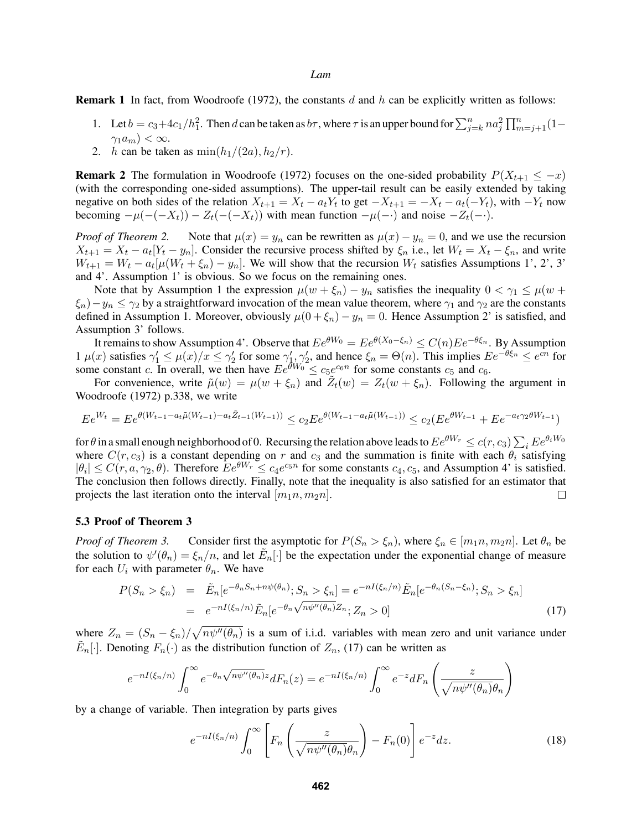**Remark 1** In fact, from Woodroofe (1972), the constants  $d$  and  $h$  can be explicitly written as follows:

- 1. Let  $b = c_3 + 4c_1/h_1^2$ . Then d can be taken as  $b\tau$ , where  $\tau$  is an upper bound for  $\sum_{j=k}^{n} n a_j^2 \prod_{m=j+1}^{n} (1 \gamma_1 a_m$ ) <  $\infty$ .
- 2. h can be taken as  $\min(h_1/(2a), h_2/r)$ .

**Remark 2** The formulation in Woodroofe (1972) focuses on the one-sided probability  $P(X_{t+1} \leq -x)$ (with the corresponding one-sided assumptions). The upper-tail result can be easily extended by taking negative on both sides of the relation  $X_{t+1} = X_t - a_t Y_t$  to get  $-X_{t+1} = -X_t - a_t (-Y_t)$ , with  $-Y_t$  now becoming  $-\mu(-(X_t)) - Z_t(-(X_t))$  with mean function  $-\mu(-\cdot)$  and noise  $-Z_t(-\cdot)$ .

*Proof of Theorem 2.* Note that  $\mu(x) = y_n$  can be rewritten as  $\mu(x) - y_n = 0$ , and we use the recursion  $X_{t+1} = X_t - a_t[Y_t - y_n]$ . Consider the recursive process shifted by  $\xi_n$  i.e., let  $W_t = X_t - \xi_n$ , and write  $W_{t+1} = W_t - a_t[\mu(W_t + \xi_n) - y_n]$ . We will show that the recursion  $W_t$  satisfies Assumptions 1', 2', 3' and 4'. Assumption 1' is obvious. So we focus on the remaining ones.

Note that by Assumption 1 the expression  $\mu(w + \xi_n) - y_n$  satisfies the inequality  $0 < \gamma_1 \leq \mu(w + \xi_n)$  $\xi_n$ ) –  $y_n \leq \gamma_2$  by a straightforward invocation of the mean value theorem, where  $\gamma_1$  and  $\gamma_2$  are the constants defined in Assumption 1. Moreover, obviously  $\mu(0 + \xi_n) - y_n = 0$ . Hence Assumption 2' is satisfied, and Assumption 3' follows.

It remains to show Assumption 4'. Observe that  $Ee^{\theta W_0} = Ee^{\theta(X_0 - \xi_n)} \leq C(n)Ee^{-\theta \xi_n}$ . By Assumption  $1 \mu(x)$  satisfies  $\gamma_1' \leq \mu(x)/x \leq \gamma_2'$  for some  $\gamma_1', \gamma_2'$ , and hence  $\xi_n = \Theta(n)$ . This implies  $E e^{-\theta \xi_n} \leq e^{cn}$  for some constant c. In overall, we then have  $Ee^{\theta W_0} \le c_5 e^{c_6 n}$  for some constants  $c_5$  and  $c_6$ .

For convenience, write  $\tilde{\mu}(w) = \mu(w + \xi_n)$  and  $\tilde{Z}_t(w) = Z_t(w + \xi_n)$ . Following the argument in Woodroofe (1972) p.338, we write

$$
E e^{W_t} = E e^{\theta (W_{t-1} - a_t \tilde{\mu}(W_{t-1}) - a_t \tilde{Z}_{t-1}(W_{t-1}))} \le c_2 E e^{\theta (W_{t-1} - a_t \tilde{\mu}(W_{t-1}))} \le c_2 (E e^{\theta W_{t-1}} + E e^{-a_t \gamma_2 \theta W_{t-1}})
$$

for  $\theta$  in a small enough neighborhood of  $0$ . Recursing the relation above leads to  $Ee^{\theta W_r}\le c(r,c_3)\sum_i E e^{\theta_i W_0}$ where  $C(r, c_3)$  is a constant depending on r and  $c_3$  and the summation is finite with each  $\theta_i$  satisfying  $|\theta_i| \le C(r, a, \gamma_2, \theta)$ . Therefore  $Ee^{\theta W_r} \le c_4e^{c_5n}$  for some constants  $c_4, c_5$ , and Assumption 4' is satisfied. The conclusion then follows directly. Finally, note that the inequality is also satisfied for an estimator that projects the last iteration onto the interval  $[m_1n, m_2n]$ .  $\Box$ 

## 5.3 Proof of Theorem 3

*Proof of Theorem 3.* Consider first the asymptotic for  $P(S_n > \xi_n)$ , where  $\xi_n \in [m_1n, m_2n]$ . Let  $\theta_n$  be the solution to  $\psi'(\theta_n) = \xi_n/n$ , and let  $\tilde{E}_n[\cdot]$  be the expectation under the exponential change of measure for each  $U_i$  with parameter  $\theta_n$ . We have

$$
P(S_n > \xi_n) = \tilde{E}_n[e^{-\theta_n S_n + n\psi(\theta_n)}; S_n > \xi_n] = e^{-nI(\xi_n/n)}\tilde{E}_n[e^{-\theta_n(S_n - \xi_n)}; S_n > \xi_n]
$$
  
=  $e^{-nI(\xi_n/n)}\tilde{E}_n[e^{-\theta_n\sqrt{n\psi''(\theta_n)}Z_n}; Z_n > 0]$  (17)

where  $Z_n = (S_n - \xi_n) / \sqrt{n \psi''(\theta_n)}$  is a sum of i.i.d. variables with mean zero and unit variance under  $\tilde{E}_n[\cdot]$ . Denoting  $F_n(\cdot)$  as the distribution function of  $Z_n$ , (17) can be written as

$$
e^{-nI(\xi_n/n)}\int_0^\infty e^{-\theta_n\sqrt{n\psi''(\theta_n)}z}dF_n(z) = e^{-nI(\xi_n/n)}\int_0^\infty e^{-z}dF_n\left(\frac{z}{\sqrt{n\psi''(\theta_n)}\theta_n}\right)
$$

by a change of variable. Then integration by parts gives

$$
e^{-nI(\xi_n/n)}\int_0^\infty \left[F_n\left(\frac{z}{\sqrt{n\psi''(\theta_n)}\theta_n}\right) - F_n(0)\right]e^{-z}dz.
$$
 (18)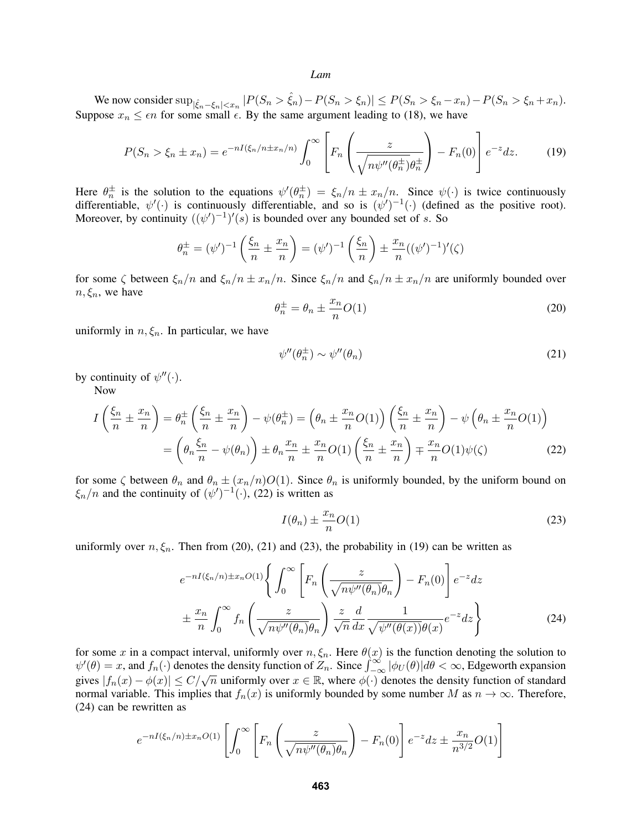We now consider  $\sup_{|\hat{\xi}_n - \xi_n| < x_n} |P(S_n > \hat{\xi}_n) - P(S_n > \xi_n)| \le P(S_n > \xi_n - x_n) - P(S_n > \xi_n + x_n).$ Suppose  $x_n \leq \epsilon n$  for some small  $\epsilon$ . By the same argument leading to (18), we have

$$
P(S_n > \xi_n \pm x_n) = e^{-nI(\xi_n/n \pm x_n/n)} \int_0^\infty \left[ F_n \left( \frac{z}{\sqrt{n\psi''(\theta_n^{\pm})\theta_n^{\pm}}} \right) - F_n(0) \right] e^{-z} dz. \tag{19}
$$

Here  $\theta_n^{\pm}$  is the solution to the equations  $\psi'(\theta_n^{\pm}) = \xi_n/n \pm x_n/n$ . Since  $\psi(\cdot)$  is twice continuously differentiable,  $\psi'(\cdot)$  is continuously differentiable, and so is  $(\psi')^{-1}(\cdot)$  (defined as the positive root). Moreover, by continuity  $((\psi')^{-1})'(s)$  is bounded over any bounded set of s. So

$$
\theta_n^{\pm} = (\psi')^{-1} \left( \frac{\xi_n}{n} \pm \frac{x_n}{n} \right) = (\psi')^{-1} \left( \frac{\xi_n}{n} \right) \pm \frac{x_n}{n} ((\psi')^{-1})'(\zeta)
$$

for some  $\zeta$  between  $\xi_n/n$  and  $\xi_n/n \pm x_n/n$ . Since  $\xi_n/n$  and  $\xi_n/n \pm x_n/n$  are uniformly bounded over  $n, \xi_n$ , we have

$$
\theta_n^{\pm} = \theta_n \pm \frac{x_n}{n} O(1) \tag{20}
$$

uniformly in  $n, \xi_n$ . In particular, we have

$$
\psi''(\theta_n^{\pm}) \sim \psi''(\theta_n) \tag{21}
$$

by continuity of  $\psi''(\cdot)$ .

Now

$$
I\left(\frac{\xi_n}{n} \pm \frac{x_n}{n}\right) = \theta_n^{\pm} \left(\frac{\xi_n}{n} \pm \frac{x_n}{n}\right) - \psi(\theta_n^{\pm}) = \left(\theta_n \pm \frac{x_n}{n}O(1)\right) \left(\frac{\xi_n}{n} \pm \frac{x_n}{n}\right) - \psi\left(\theta_n \pm \frac{x_n}{n}O(1)\right)
$$

$$
= \left(\theta_n \frac{\xi_n}{n} - \psi(\theta_n)\right) \pm \theta_n \frac{x_n}{n} \pm \frac{x_n}{n}O(1) \left(\frac{\xi_n}{n} \pm \frac{x_n}{n}\right) \mp \frac{x_n}{n}O(1)\psi(\zeta) \tag{22}
$$

for some  $\zeta$  between  $\theta_n$  and  $\theta_n \pm (x_n/n)O(1)$ . Since  $\theta_n$  is uniformly bounded, by the uniform bound on  $\xi_n/n$  and the continuity of  $(\psi')^{-1}(\cdot)$ , (22) is written as

$$
I(\theta_n) \pm \frac{x_n}{n} O(1) \tag{23}
$$

uniformly over  $n, \xi_n$ . Then from (20), (21) and (23), the probability in (19) can be written as

$$
e^{-nI(\xi_n/n)\pm x_nO(1)}\left\{\int_0^\infty \left[F_n\left(\frac{z}{\sqrt{n\psi''(\theta_n)}\theta_n}\right) - F_n(0)\right]e^{-z}dz\right\}
$$

$$
\pm \frac{x_n}{n}\int_0^\infty f_n\left(\frac{z}{\sqrt{n\psi''(\theta_n)}\theta_n}\right)\frac{z}{\sqrt{n}}\frac{d}{dx}\frac{1}{\sqrt{\psi''(\theta(x))}\theta(x)}e^{-z}dz\right\}
$$
(24)

for some x in a compact interval, uniformly over  $n, \xi_n$ . Here  $\theta(x)$  is the function denoting the solution to  $\psi'(\theta) = x$ , and  $f_n(\cdot)$  denotes the density function of  $Z_n$ . Since  $\int_{-\infty}^{\infty} |\phi_U(\theta)| d\theta < \infty$ , Edgeworth expansion gives  $|f_n(x) - \phi(x)| \le C/\sqrt{n}$  uniformly over  $x \in \mathbb{R}$ , where  $\phi(\cdot)$  denotes the density function of standard normal variable. This implies that  $f_n(x)$  is uniformly bounded by some number M as  $n \to \infty$ . Therefore, (24) can be rewritten as

$$
e^{-nI(\xi_n/n)\pm x_nO(1)}\left[\int_0^\infty \left[F_n\left(\frac{z}{\sqrt{n\psi''(\theta_n)}\theta_n}\right)-F_n(0)\right]e^{-z}dz\pm\frac{x_n}{n^{3/2}}O(1)\right]
$$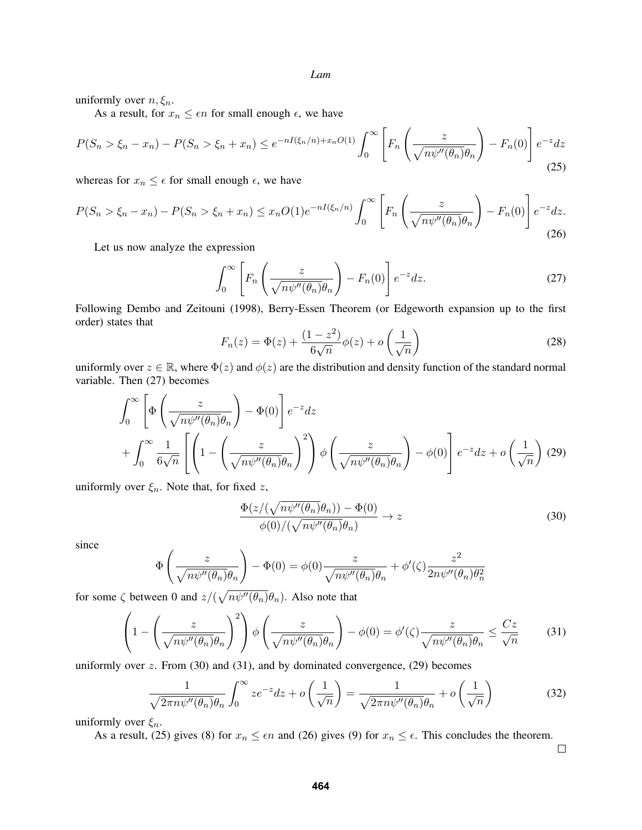uniformly over  $n, \xi_n$ .

As a result, for  $x_n \leq \epsilon n$  for small enough  $\epsilon$ , we have

$$
P(S_n > \xi_n - x_n) - P(S_n > \xi_n + x_n) \le e^{-nI(\xi_n/n) + x_nO(1)} \int_0^\infty \left[ F_n\left(\frac{z}{\sqrt{n\psi''(\theta_n)}\theta_n}\right) - F_n(0) \right] e^{-z} dz \tag{25}
$$

whereas for  $x_n \leq \epsilon$  for small enough  $\epsilon$ , we have

$$
P(S_n > \xi_n - x_n) - P(S_n > \xi_n + x_n) \le x_n O(1) e^{-nI(\xi_n/n)} \int_0^\infty \left[ F_n \left( \frac{z}{\sqrt{n\psi''(\theta_n)} \theta_n} \right) - F_n(0) \right] e^{-z} dz. \tag{26}
$$

Let us now analyze the expression

$$
\int_0^\infty \left[ F_n \left( \frac{z}{\sqrt{n \psi''(\theta_n)} \theta_n} \right) - F_n(0) \right] e^{-z} dz.
$$
 (27)

Following Dembo and Zeitouni (1998), Berry-Essen Theorem (or Edgeworth expansion up to the first order) states that

$$
F_n(z) = \Phi(z) + \frac{(1 - z^2)}{6\sqrt{n}} \phi(z) + o\left(\frac{1}{\sqrt{n}}\right)
$$
 (28)

uniformly over  $z \in \mathbb{R}$ , where  $\Phi(z)$  and  $\phi(z)$  are the distribution and density function of the standard normal variable. Then (27) becomes

$$
\int_0^\infty \left[ \Phi\left(\frac{z}{\sqrt{n\psi''(\theta_n)}\theta_n} \right) - \Phi(0) \right] e^{-z} dz
$$
  
+ 
$$
\int_0^\infty \frac{1}{6\sqrt{n}} \left[ \left( 1 - \left( \frac{z}{\sqrt{n\psi''(\theta_n)}\theta_n} \right)^2 \right) \phi\left(\frac{z}{\sqrt{n\psi''(\theta_n)}\theta_n} \right) - \phi(0) \right] e^{-z} dz + o\left(\frac{1}{\sqrt{n}}\right) (29)
$$

uniformly over  $\xi_n$ . Note that, for fixed z,

$$
\frac{\Phi(z/(\sqrt{n\psi''(\theta_n)}\theta_n)) - \Phi(0)}{\phi(0)/(\sqrt{n\psi''(\theta_n)}\theta_n)} \to z
$$
\n(30)

since

$$
\Phi\left(\frac{z}{\sqrt{n\psi''(\theta_n)}\theta_n}\right) - \Phi(0) = \phi(0)\frac{z}{\sqrt{n\psi''(\theta_n)}\theta_n} + \phi'(\zeta)\frac{z^2}{2n\psi''(\theta_n)\theta_n^2}
$$

for some  $\zeta$  between 0 and  $z/(\sqrt{n\psi''(\theta_n)}\theta_n)$ . Also note that

$$
\left(1 - \left(\frac{z}{\sqrt{n\psi''(\theta_n)}\theta_n}\right)^2\right)\phi\left(\frac{z}{\sqrt{n\psi''(\theta_n)}\theta_n}\right) - \phi(0) = \phi'(\zeta)\frac{z}{\sqrt{n\psi''(\theta_n)}\theta_n} \le \frac{Cz}{\sqrt{n}}\tag{31}
$$

uniformly over  $z$ . From (30) and (31), and by dominated convergence, (29) becomes

$$
\frac{1}{\sqrt{2\pi n \psi''(\theta_n)} \theta_n} \int_0^\infty z e^{-z} dz + o\left(\frac{1}{\sqrt{n}}\right) = \frac{1}{\sqrt{2\pi n \psi''(\theta_n)} \theta_n} + o\left(\frac{1}{\sqrt{n}}\right)
$$
(32)

uniformly over  $\xi_n$ .

As a result, (25) gives (8) for  $x_n \leq \epsilon n$  and (26) gives (9) for  $x_n \leq \epsilon$ . This concludes the theorem.

 $\Box$